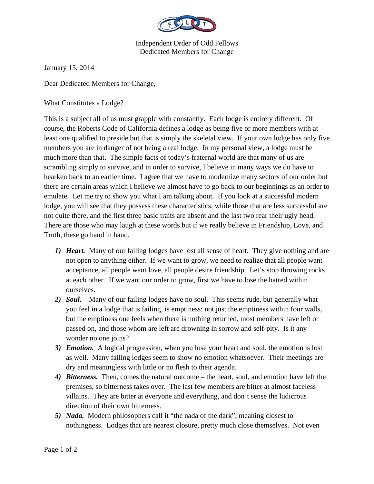

Independent Order of Odd Fellows Dedicated Members for Change

January 15, 2014

Dear Dedicated Members for Change,

What Constitutes a Lodge?

This is a subject all of us must grapple with constantly. Each lodge is entirely different. Of course, the Roberts Code of California defines a lodge as being five or more members with at least one qualified to preside but that is simply the skeletal view. If your own lodge has only five members you are in danger of not being a real lodge. In my personal view, a lodge must be much more than that. The simple facts of today's fraternal world are that many of us are scrambling simply to survive, and in order to survive, I believe in many ways we do have to hearken back to an earlier time. I agree that we have to modernize many sectors of our order but there are certain areas which I believe we almost have to go back to our beginnings as an order to emulate. Let me try to show you what I am talking about. If you look at a successful modern lodge, you will see that they possess these characteristics, while those that are less successful are not quite there, and the first three basic traits are absent and the last two rear their ugly head. There are those who may laugh at these words but if we really believe in Friendship, Love, and Truth, these go hand in hand.

- *1) Heart.* Many of our failing lodges have lost all sense of heart. They give nothing and are not open to anything either. If we want to grow, we need to realize that all people want acceptance, all people want love, all people desire friendship. Let's stop throwing rocks at each other. If we want our order to grow, first we have to lose the hatred within ourselves.
- *2) Soul.* Many of our failing lodges have no soul. This seems rude, but generally what you feel in a lodge that is failing, is emptiness: not just the emptiness within four walls, but the emptiness one feels when there is nothing returned, most members have left or passed on, and those whom are left are drowning in sorrow and self-pity. Is it any wonder no one joins?
- *3) Emotion.* A logical progression, when you lose your heart and soul, the emotion is lost as well. Many failing lodges seem to show no emotion whatsoever. Their meetings are dry and meaningless with little or no flesh to their agenda.
- *4) Bitterness.* Then, comes the natural outcome the heart, soul, and emotion have left the premises, so bitterness takes over. The last few members are bitter at almost faceless villains. They are bitter at everyone and everything, and don't sense the ludicrous direction of their own bitterness.
- *5) Nada.* Modern philosophers call it "the nada of the dark", meaning closest to nothingness. Lodges that are nearest closure, pretty much close themselves. Not even